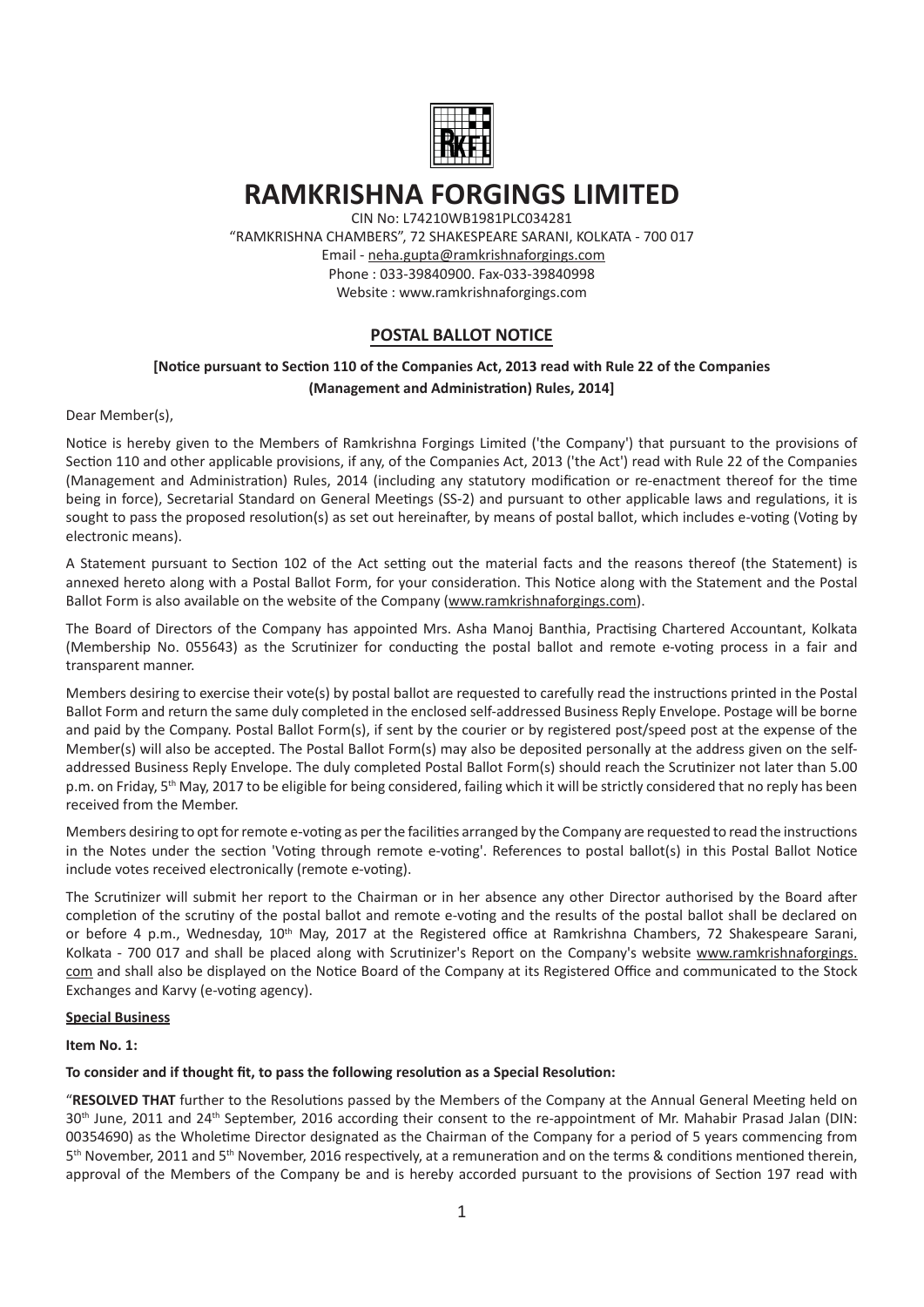

# **RAMKRISHNA FORGINGS LIMITED**

CIN No: L74210WB1981PLC034281 "RAMKRISHNA CHAMBERS", 72 SHAKESPEARE SARANI, KOLKATA - 700 017 Email - neha.gupta@ramkrishnaforgings.com Phone : 033-39840900. Fax-033-39840998 Website : www.ramkrishnaforgings.com

## **POSTAL BALLOT NOTICE**

## **[NoƟce pursuant to SecƟon 110 of the Companies Act, 2013 read with Rule 22 of the Companies (Management and AdministraƟon) Rules, 2014]**

Dear Member(s),

Notice is hereby given to the Members of Ramkrishna Forgings Limited ('the Company') that pursuant to the provisions of Section 110 and other applicable provisions, if any, of the Companies Act, 2013 ('the Act') read with Rule 22 of the Companies (Management and Administration) Rules, 2014 (including any statutory modification or re-enactment thereof for the time being in force), Secretarial Standard on General Meetings (SS-2) and pursuant to other applicable laws and regulations, it is sought to pass the proposed resolution(s) as set out hereinafter, by means of postal ballot, which includes e-voting (Voting by electronic means).

A Statement pursuant to Section 102 of the Act setting out the material facts and the reasons thereof (the Statement) is annexed hereto along with a Postal Ballot Form, for your consideration. This Notice along with the Statement and the Postal Ballot Form is also available on the website of the Company (www.ramkrishnaforgings.com).

The Board of Directors of the Company has appointed Mrs. Asha Manoj Banthia, Practising Chartered Accountant, Kolkata (Membership No. 055643) as the Scrutinizer for conducting the postal ballot and remote e-voting process in a fair and transparent manner.

Members desiring to exercise their vote(s) by postal ballot are requested to carefully read the instructions printed in the Postal Ballot Form and return the same duly completed in the enclosed self-addressed Business Reply Envelope. Postage will be borne and paid by the Company. Postal Ballot Form(s), if sent by the courier or by registered post/speed post at the expense of the Member(s) will also be accepted. The Postal Ballot Form(s) may also be deposited personally at the address given on the selfaddressed Business Reply Envelope. The duly completed Postal Ballot Form(s) should reach the Scrutinizer not later than 5.00 p.m. on Friday, 5<sup>th</sup> May, 2017 to be eligible for being considered, failing which it will be strictly considered that no reply has been received from the Member.

Members desiring to opt for remote e-voting as per the facilities arranged by the Company are requested to read the instructions in the Notes under the section 'Voting through remote e-voting'. References to postal ballot(s) in this Postal Ballot Notice include votes received electronically (remote e-voting).

The Scrutinizer will submit her report to the Chairman or in her absence any other Director authorised by the Board after completion of the scrutiny of the postal ballot and remote e-voting and the results of the postal ballot shall be declared on or before 4 p.m., Wednesday, 10<sup>th</sup> May, 2017 at the Registered office at Ramkrishna Chambers, 72 Shakespeare Sarani, Kolkata - 700 017 and shall be placed along with Scrutinizer's Report on the Company's website www.ramkrishnaforgings. com and shall also be displayed on the Notice Board of the Company at its Registered Office and communicated to the Stock Exchanges and Karvy (e-voting agency).

#### **Special Business**

**Item No. 1:** 

#### To consider and if thought fit, to pass the following resolution as a Special Resolution:

"RESOLVED THAT further to the Resolutions passed by the Members of the Company at the Annual General Meeting held on 30<sup>th</sup> June, 2011 and 24<sup>th</sup> September, 2016 according their consent to the re-appointment of Mr. Mahabir Prasad Jalan (DIN: 00354690) as the Wholetime Director designated as the Chairman of the Company for a period of 5 years commencing from  $5<sup>th</sup>$  November, 2011 and  $5<sup>th</sup>$  November, 2016 respectively, at a remuneration and on the terms & conditions mentioned therein, approval of the Members of the Company be and is hereby accorded pursuant to the provisions of Section 197 read with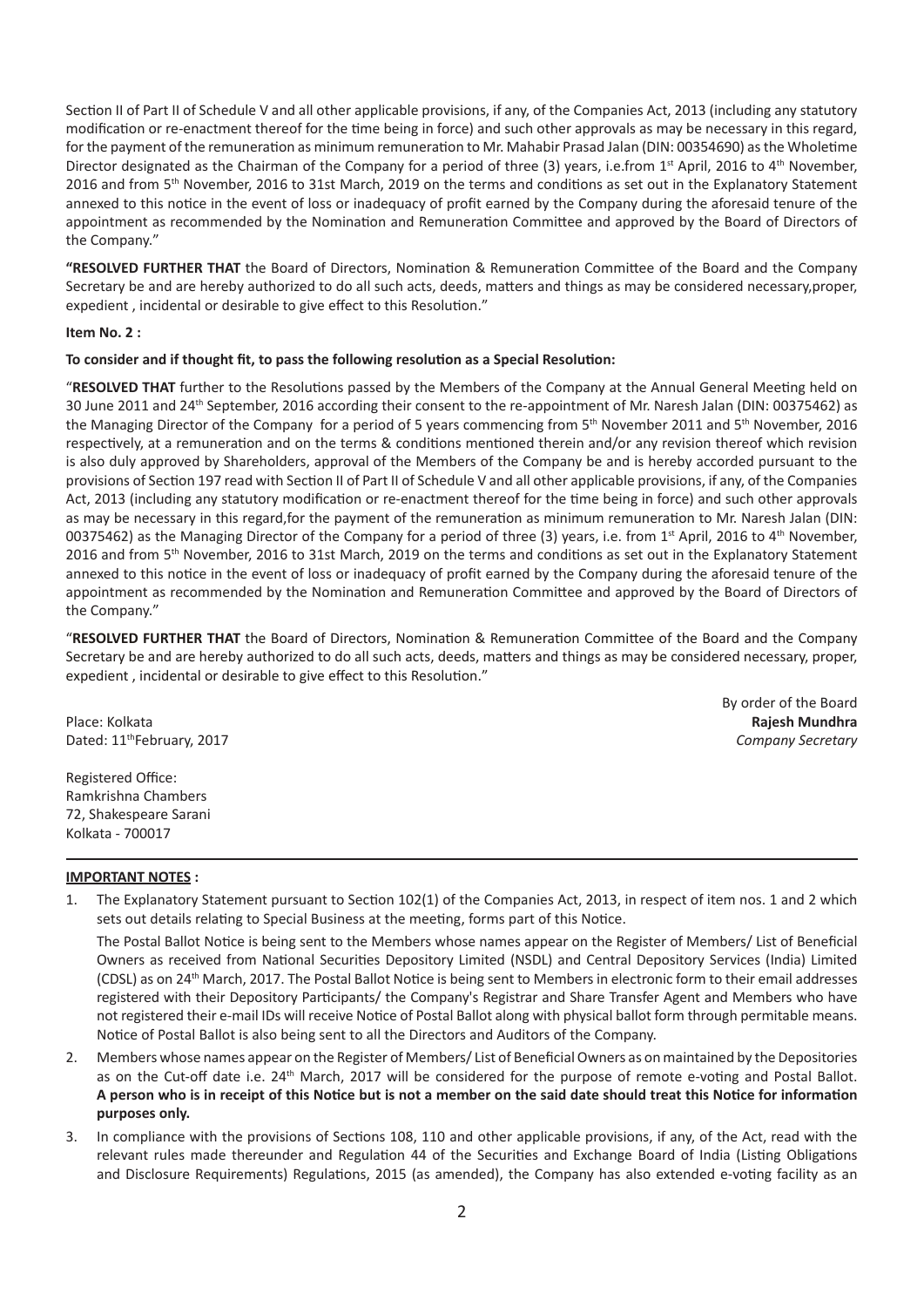Section II of Part II of Schedule V and all other applicable provisions, if any, of the Companies Act, 2013 (including any statutory modification or re-enactment thereof for the time being in force) and such other approvals as may be necessary in this regard, for the payment of the remuneration as minimum remuneration to Mr. Mahabir Prasad Jalan (DIN: 00354690) as the Wholetime Director designated as the Chairman of the Company for a period of three (3) years, i.e.from 1<sup>st</sup> April, 2016 to 4<sup>th</sup> November, 2016 and from 5<sup>th</sup> November, 2016 to 31st March, 2019 on the terms and conditions as set out in the Explanatory Statement annexed to this notice in the event of loss or inadequacy of profit earned by the Company during the aforesaid tenure of the appointment as recommended by the Nomination and Remuneration Committee and approved by the Board of Directors of the Company."

"RESOLVED FURTHER THAT the Board of Directors, Nomination & Remuneration Committee of the Board and the Company Secretary be and are hereby authorized to do all such acts, deeds, matters and things as may be considered necessary, proper, expedient, incidental or desirable to give effect to this Resolution."

#### **Item No. 2 :**

#### **To consider and if thought fit, to pass the following resoluƟon as a Special ResoluƟon:**

"RESOLVED THAT further to the Resolutions passed by the Members of the Company at the Annual General Meeting held on 30 June 2011 and 24th September, 2016 according their consent to the re-appointment of Mr. Naresh Jalan (DIN: 00375462) as the Managing Director of the Company for a period of 5 years commencing from 5th November 2011 and 5th November, 2016 respectively, at a remuneration and on the terms & conditions mentioned therein and/or any revision thereof which revision is also duly approved by Shareholders, approval of the Members of the Company be and is hereby accorded pursuant to the provisions of Section 197 read with Section II of Part II of Schedule V and all other applicable provisions, if any, of the Companies Act, 2013 (including any statutory modification or re-enactment thereof for the time being in force) and such other approvals as may be necessary in this regard, for the payment of the remuneration as minimum remuneration to Mr. Naresh Jalan (DIN: 00375462) as the Managing Director of the Company for a period of three (3) years, i.e. from 1<sup>st</sup> April, 2016 to 4<sup>th</sup> November. 2016 and from 5<sup>th</sup> November, 2016 to 31st March, 2019 on the terms and conditions as set out in the Explanatory Statement annexed to this notice in the event of loss or inadequacy of profit earned by the Company during the aforesaid tenure of the appointment as recommended by the Nomination and Remuneration Committee and approved by the Board of Directors of the Company."

"**RESOLVED FURTHER THAT** the Board of Directors, NominaƟon & RemuneraƟon CommiƩee of the Board and the Company Secretary be and are hereby authorized to do all such acts, deeds, matters and things as may be considered necessary, proper, expedient, incidental or desirable to give effect to this Resolution."

Place: Kolkata **Rajesh Mundhra** Dated: 11thFebruary, 2017 *Company Secretary*

By order of the Board

Registered Office: Ramkrishna Chambers 72, Shakespeare Sarani Kolkata - 700017

#### **IMPORTANT NOTES :**

1. The Explanatory Statement pursuant to Section 102(1) of the Companies Act, 2013, in respect of item nos. 1 and 2 which sets out details relating to Special Business at the meeting, forms part of this Notice.

The Postal Ballot Notice is being sent to the Members whose names appear on the Register of Members/ List of Beneficial Owners as received from National Securities Depository Limited (NSDL) and Central Depository Services (India) Limited (CDSL) as on 24<sup>th</sup> March, 2017. The Postal Ballot Notice is being sent to Members in electronic form to their email addresses registered with their Depository Participants/ the Company's Registrar and Share Transfer Agent and Members who have not registered their e-mail IDs will receive Notice of Postal Ballot along with physical ballot form through permitable means. Notice of Postal Ballot is also being sent to all the Directors and Auditors of the Company.

- 2. Members whose names appear on the Register of Members/ List of Beneficial Owners as on maintained by the Depositories as on the Cut-off date i.e. 24<sup>th</sup> March, 2017 will be considered for the purpose of remote e-voting and Postal Ballot. A person who is in receipt of this Notice but is not a member on the said date should treat this Notice for information **purposes only.**
- 3. In compliance with the provisions of Sections 108, 110 and other applicable provisions, if any, of the Act, read with the relevant rules made thereunder and Regulation 44 of the Securities and Exchange Board of India (Listing Obligations and Disclosure Requirements) Regulations, 2015 (as amended), the Company has also extended e-voting facility as an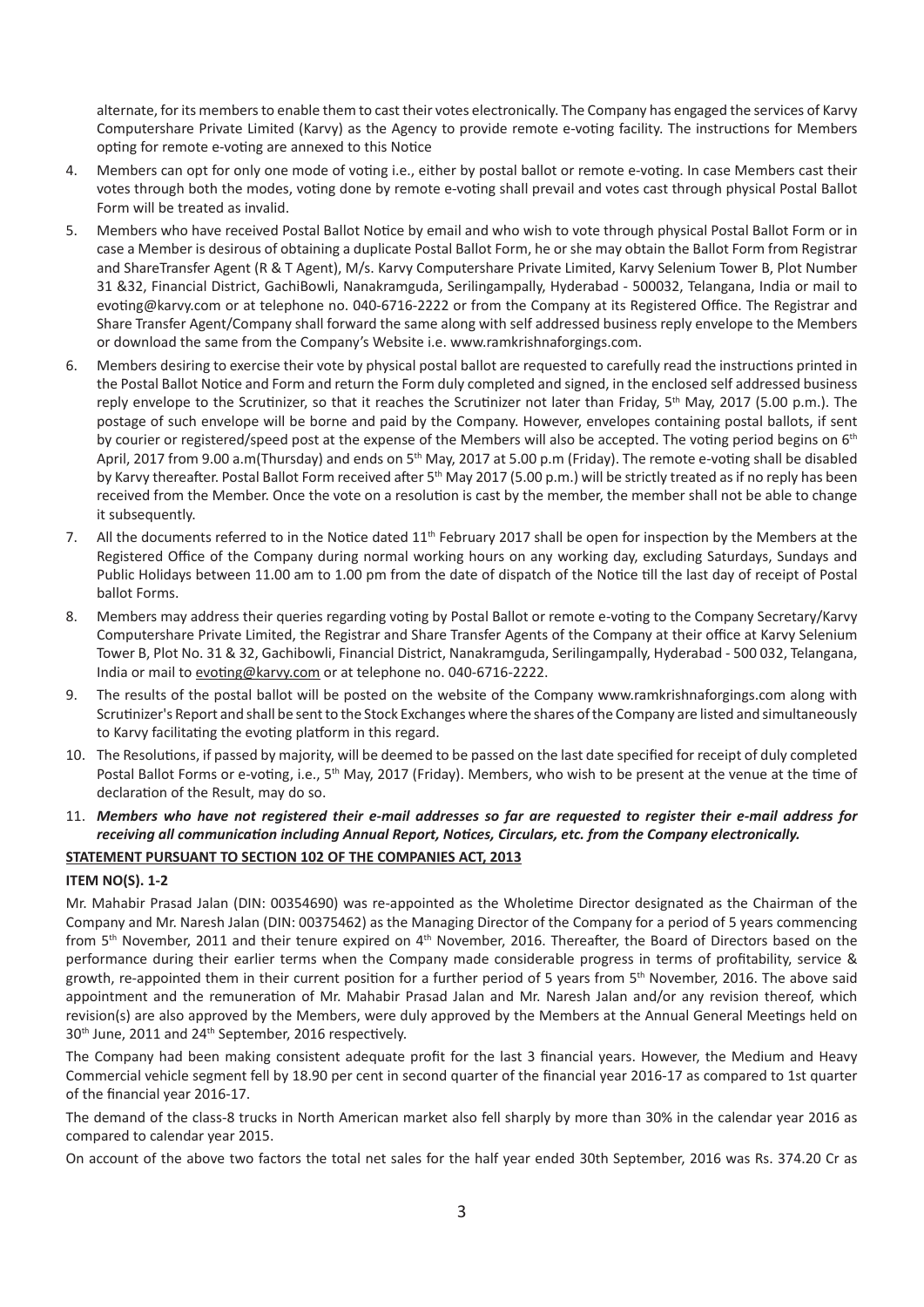alternate, for its members to enable them to cast their votes electronically. The Company has engaged the services of Karvy Computershare Private Limited (Karvy) as the Agency to provide remote e-voting facility. The instructions for Members opting for remote e-voting are annexed to this Notice

- 4. Members can opt for only one mode of voting i.e., either by postal ballot or remote e-voting. In case Members cast their votes through both the modes, voting done by remote e-voting shall prevail and votes cast through physical Postal Ballot Form will be treated as invalid.
- 5. Members who have received Postal Ballot Notice by email and who wish to vote through physical Postal Ballot Form or in case a Member is desirous of obtaining a duplicate Postal Ballot Form, he or she may obtain the Ballot Form from Registrar and ShareTransfer Agent (R & T Agent), M/s. Karvy Computershare Private Limited, Karvy Selenium Tower B, Plot Number 31 &32, Financial District, GachiBowli, Nanakramguda, Serilingampally, Hyderabad - 500032, Telangana, India or mail to evoting@karvy.com or at telephone no. 040-6716-2222 or from the Company at its Registered Office. The Registrar and Share Transfer Agent/Company shall forward the same along with self addressed business reply envelope to the Members or download the same from the Company's Website i.e. www.ramkrishnaforgings.com.
- 6. Members desiring to exercise their vote by physical postal ballot are requested to carefully read the instructions printed in the Postal Ballot Notice and Form and return the Form duly completed and signed, in the enclosed self addressed business reply envelope to the Scrutinizer, so that it reaches the Scrutinizer not later than Friday, 5<sup>th</sup> May, 2017 (5.00 p.m.). The postage of such envelope will be borne and paid by the Company. However, envelopes containing postal ballots, if sent by courier or registered/speed post at the expense of the Members will also be accepted. The voting period begins on 6<sup>th</sup> April, 2017 from 9.00 a.m(Thursday) and ends on 5<sup>th</sup> May, 2017 at 5.00 p.m (Friday). The remote e-voting shall be disabled by Karvy thereafter. Postal Ballot Form received after 5<sup>th</sup> May 2017 (5.00 p.m.) will be strictly treated as if no reply has been received from the Member. Once the vote on a resolution is cast by the member, the member shall not be able to change it subsequently.
- 7. All the documents referred to in the Notice dated 11<sup>th</sup> February 2017 shall be open for inspection by the Members at the Registered Office of the Company during normal working hours on any working day, excluding Saturdays, Sundays and Public Holidays between 11.00 am to 1.00 pm from the date of dispatch of the Notice till the last day of receipt of Postal ballot Forms.
- 8. Members may address their queries regarding voting by Postal Ballot or remote e-voting to the Company Secretary/Karvy Computershare Private Limited, the Registrar and Share Transfer Agents of the Company at their office at Karvy Selenium Tower B, Plot No. 31 & 32, Gachibowli, Financial District, Nanakramguda, Serilingampally, Hyderabad - 500 032, Telangana, India or mail to evoting@karvy.com or at telephone no. 040-6716-2222.
- 9. The results of the postal ballot will be posted on the website of the Company www.ramkrishnaforgings.com along with Scrutinizer's Report and shall be sent to the Stock Exchanges where the shares of the Company are listed and simultaneously to Karvy facilitating the evoting platform in this regard.
- 10. The Resolutions, if passed by majority, will be deemed to be passed on the last date specified for receipt of duly completed Postal Ballot Forms or e-voting, i.e., 5<sup>th</sup> May, 2017 (Friday). Members, who wish to be present at the venue at the time of declaration of the Result, may do so.
- 11. *Members who have not registered their e-mail addresses so far are requested to register their e-mail address for receiving all communicaƟon including Annual Report, NoƟces, Circulars, etc. from the Company electronically.*

### **STATEMENT PURSUANT TO SECTION 102 OF THE COMPANIES ACT, 2013**

#### **ITEM NO(S). 1-2**

Mr. Mahabir Prasad Jalan (DIN: 00354690) was re-appointed as the Wholetime Director designated as the Chairman of the Company and Mr. Naresh Jalan (DIN: 00375462) as the Managing Director of the Company for a period of 5 years commencing from 5<sup>th</sup> November, 2011 and their tenure expired on 4<sup>th</sup> November, 2016. Thereafter, the Board of Directors based on the performance during their earlier terms when the Company made considerable progress in terms of profitability, service & growth, re-appointed them in their current position for a further period of 5 years from 5<sup>th</sup> November, 2016. The above said appointment and the remuneration of Mr. Mahabir Prasad Jalan and Mr. Naresh Jalan and/or any revision thereof, which revision(s) are also approved by the Members, were duly approved by the Members at the Annual General Meetings held on 30<sup>th</sup> June, 2011 and 24<sup>th</sup> September, 2016 respectively.

The Company had been making consistent adequate profit for the last 3 financial years. However, the Medium and Heavy Commercial vehicle segment fell by 18.90 per cent in second quarter of the financial year 2016-17 as compared to 1st quarter of the financial year 2016-17.

The demand of the class-8 trucks in North American market also fell sharply by more than 30% in the calendar year 2016 as compared to calendar year 2015.

On account of the above two factors the total net sales for the half year ended 30th September, 2016 was Rs. 374.20 Cr as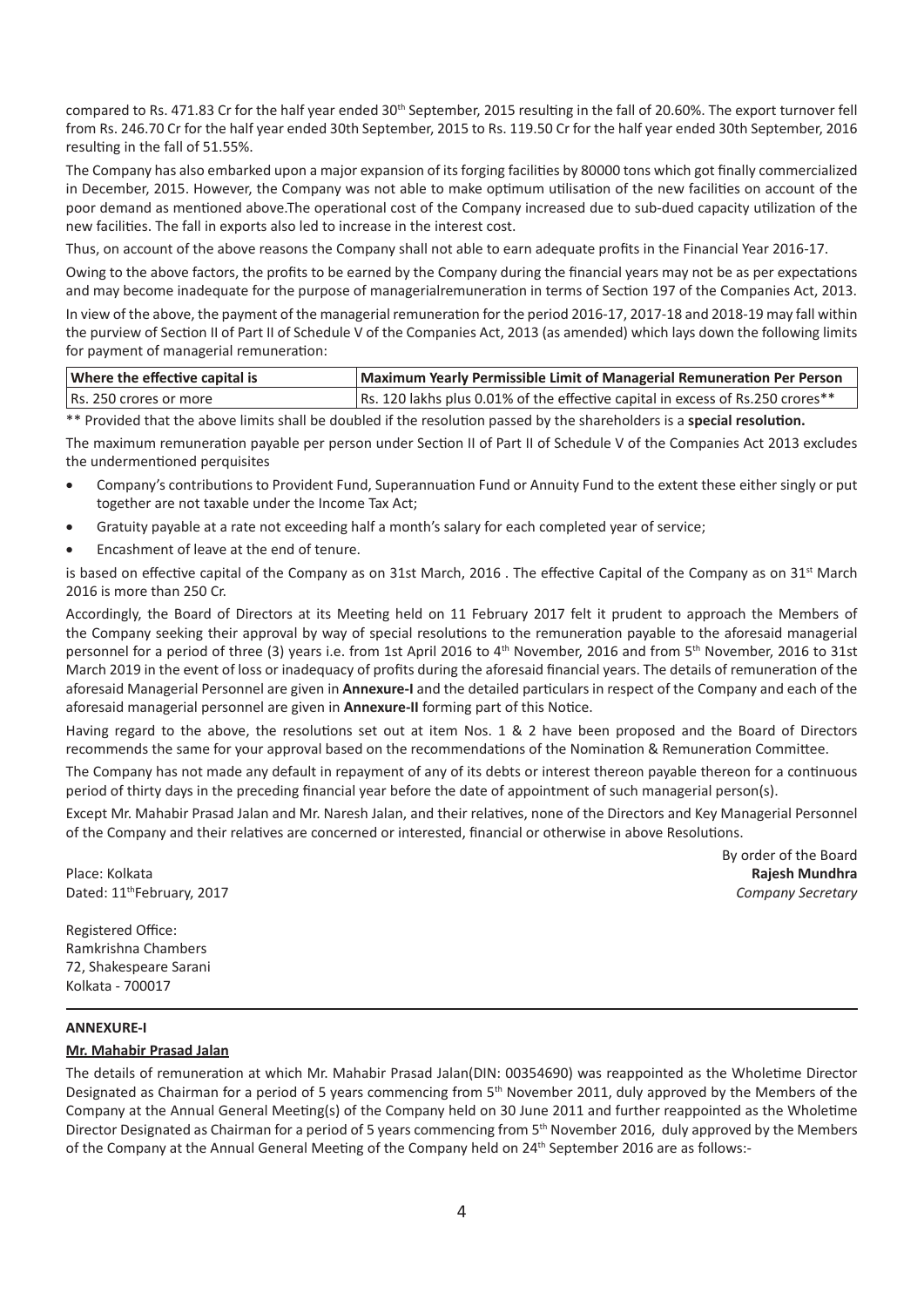compared to Rs. 471.83 Cr for the half year ended 30<sup>th</sup> September, 2015 resulting in the fall of 20.60%. The export turnover fell from Rs. 246.70 Cr for the half year ended 30th September, 2015 to Rs. 119.50 Cr for the half year ended 30th September, 2016 resulting in the fall of 51.55%.

The Company has also embarked upon a major expansion of its forging facilities by 80000 tons which got finally commercialized in December, 2015. However, the Company was not able to make optimum utilisation of the new facilities on account of the poor demand as mentioned above.The operational cost of the Company increased due to sub-dued capacity utilization of the new facilities. The fall in exports also led to increase in the interest cost.

Thus, on account of the above reasons the Company shall not able to earn adequate profits in the Financial Year 2016-17.

Owing to the above factors, the profits to be earned by the Company during the financial years may not be as per expectations and may become inadequate for the purpose of managerialremuneration in terms of Section 197 of the Companies Act, 2013.

In view of the above, the payment of the managerial remuneration for the period 2016-17, 2017-18 and 2018-19 may fall within the purview of Section II of Part II of Schedule V of the Companies Act, 2013 (as amended) which lays down the following limits for payment of managerial remuneration:

| Where the effective capital is | Maximum Yearly Permissible Limit of Managerial Remuneration Per Person         |  |
|--------------------------------|--------------------------------------------------------------------------------|--|
| Rs. 250 crores or more         | Rs. 120 lakhs plus 0.01% of the effective capital in excess of Rs.250 crores** |  |

\*\* Provided that the above limits shall be doubled if the resolution passed by the shareholders is a special resolution.

The maximum remuneration payable per person under Section II of Part II of Schedule V of the Companies Act 2013 excludes the undermentioned perquisites

- Company's contributions to Provident Fund, Superannuation Fund or Annuity Fund to the extent these either singly or put together are not taxable under the Income Tax Act;
- Gratuity payable at a rate not exceeding half a month's salary for each completed year of service;
- Encashment of leave at the end of tenure.

is based on effective capital of the Company as on 31st March, 2016. The effective Capital of the Company as on  $31<sup>st</sup>$  March 2016 is more than 250 Cr.

Accordingly, the Board of Directors at its Meeting held on 11 February 2017 felt it prudent to approach the Members of the Company seeking their approval by way of special resolutions to the remuneration payable to the aforesaid managerial personnel for a period of three (3) years i.e. from 1st April 2016 to 4<sup>th</sup> November, 2016 and from 5<sup>th</sup> November, 2016 to 31st March 2019 in the event of loss or inadequacy of profits during the aforesaid financial years. The details of remuneration of the aforesaid Managerial Personnel are given in **Annexure-I** and the detailed particulars in respect of the Company and each of the aforesaid managerial personnel are given in **Annexure-II** forming part of this Notice.

Having regard to the above, the resolutions set out at item Nos. 1 & 2 have been proposed and the Board of Directors recommends the same for your approval based on the recommendations of the Nomination & Remuneration Committee.

The Company has not made any default in repayment of any of its debts or interest thereon payable thereon for a continuous period of thirty days in the preceding financial year before the date of appointment of such managerial person(s).

Except Mr. Mahabir Prasad Jalan and Mr. Naresh Jalan, and their relatives, none of the Directors and Key Managerial Personnel of the Company and their relatives are concerned or interested, financial or otherwise in above Resolutions.

Place: Kolkata **Rajesh Mundhra** Dated: 11thFebruary, 2017 *Company Secretary*

By order of the Board

Registered Office: Ramkrishna Chambers 72, Shakespeare Sarani Kolkata - 700017

#### **ANNEXURE-I**

#### **Mr. Mahabir Prasad Jalan**

The details of remuneration at which Mr. Mahabir Prasad Jalan(DIN: 00354690) was reappointed as the Wholetime Director Designated as Chairman for a period of 5 years commencing from  $5<sup>th</sup>$  November 2011, duly approved by the Members of the Company at the Annual General Meeting(s) of the Company held on 30 June 2011 and further reappointed as the Wholetime Director Designated as Chairman for a period of 5 years commencing from 5th November 2016, duly approved by the Members of the Company at the Annual General Meeting of the Company held on 24<sup>th</sup> September 2016 are as follows:-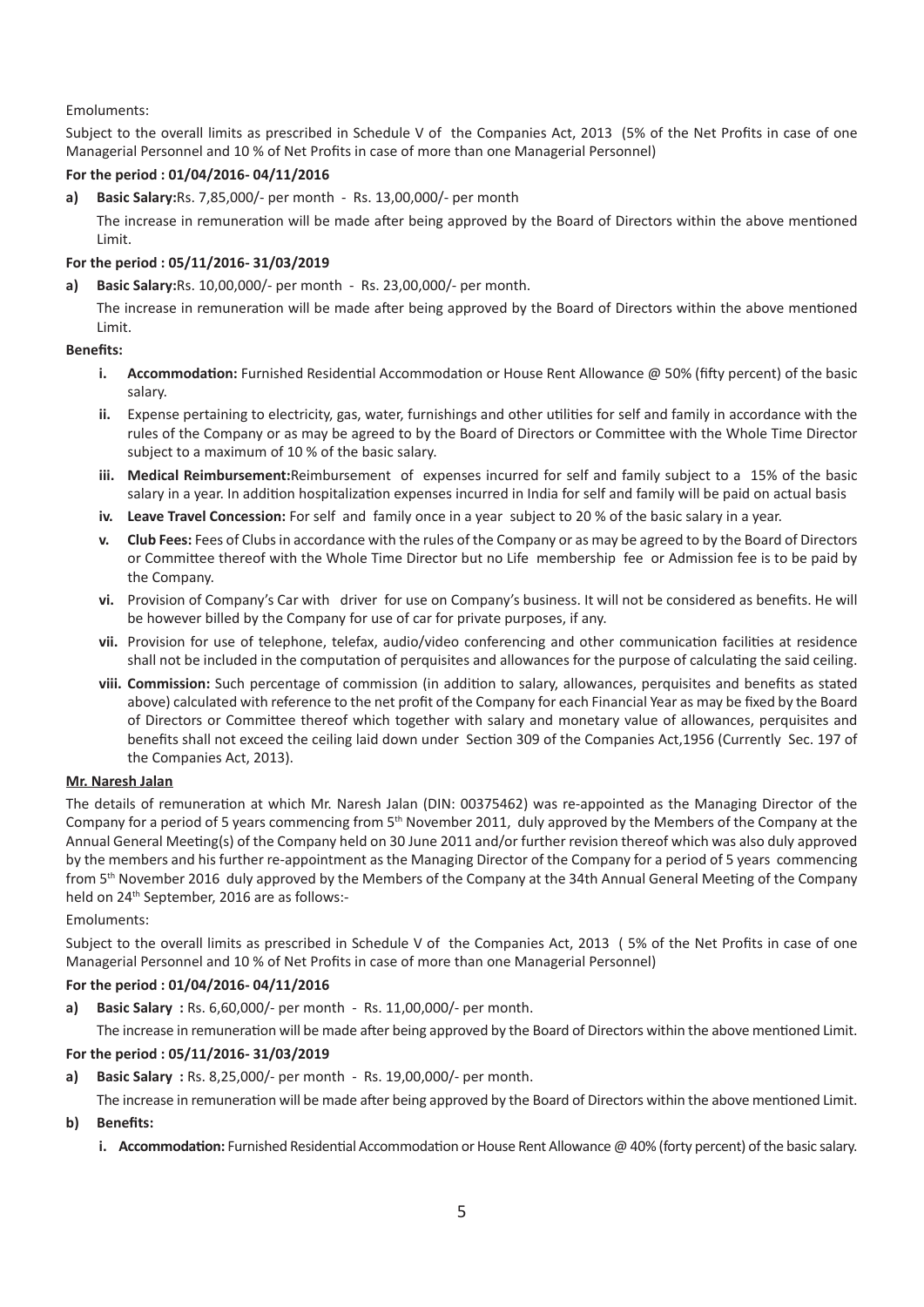#### Emoluments:

Subject to the overall limits as prescribed in Schedule V of the Companies Act, 2013 (5% of the Net Profits in case of one Managerial Personnel and 10 % of Net Profits in case of more than one Managerial Personnel)

#### **For the period : 01/04/2016- 04/11/2016**

**a) Basic Salary:**Rs. 7,85,000/- per month - Rs. 13,00,000/- per month

The increase in remuneration will be made after being approved by the Board of Directors within the above mentioned Limit.

#### **For the period : 05/11/2016- 31/03/2019**

#### **a) Basic Salary:**Rs. 10,00,000/- per month - Rs. 23,00,000/- per month.

The increase in remuneration will be made after being approved by the Board of Directors within the above mentioned Limit.

#### **Benefits:**

- **i.** Accommodation: Furnished Residential Accommodation or House Rent Allowance @ 50% (fifty percent) of the basic salary.
- ii. Expense pertaining to electricity, gas, water, furnishings and other utilities for self and family in accordance with the rules of the Company or as may be agreed to by the Board of Directors or Committee with the Whole Time Director subject to a maximum of 10 % of the basic salary.
- **iii. Medical Reimbursement:**Reimbursement of expenses incurred for self and family subject to a 15% of the basic salary in a year. In addition hospitalization expenses incurred in India for self and family will be paid on actual basis
- **iv. Leave Travel Concession:** For self and family once in a year subject to 20 % of the basic salary in a year.
- **v. Club Fees:** Fees of Clubs in accordance with the rules of the Company or as may be agreed to by the Board of Directors or Committee thereof with the Whole Time Director but no Life membership fee or Admission fee is to be paid by the Company.
- **vi.** Provision of Company's Car with driver for use on Company's business. It will not be considered as benefits. He will be however billed by the Company for use of car for private purposes, if any.
- vii. Provision for use of telephone, telefax, audio/video conferencing and other communication facilities at residence shall not be included in the computation of perquisites and allowances for the purpose of calculating the said ceiling.
- viii. Commission: Such percentage of commission (in addition to salary, allowances, perquisites and benefits as stated above) calculated with reference to the net profit of the Company for each Financial Year as may be fixed by the Board of Directors or Committee thereof which together with salary and monetary value of allowances, perquisites and benefits shall not exceed the ceiling laid down under Section 309 of the Companies Act,1956 (Currently Sec. 197 of the Companies Act, 2013).

#### **Mr. Naresh Jalan**

The details of remuneration at which Mr. Naresh Jalan (DIN: 00375462) was re-appointed as the Managing Director of the Company for a period of 5 years commencing from 5<sup>th</sup> November 2011, duly approved by the Members of the Company at the Annual General Meeting(s) of the Company held on 30 June 2011 and/or further revision thereof which was also duly approved by the members and his further re-appointment as the Managing Director of the Company for a period of 5 years commencing from 5<sup>th</sup> November 2016 duly approved by the Members of the Company at the 34th Annual General Meeting of the Company held on 24<sup>th</sup> September, 2016 are as follows:-

#### Emoluments:

Subject to the overall limits as prescribed in Schedule V of the Companies Act, 2013 ( 5% of the Net Profits in case of one Managerial Personnel and 10 % of Net Profits in case of more than one Managerial Personnel)

#### **For the period : 01/04/2016- 04/11/2016**

**a) Basic Salary :** Rs. 6,60,000/- per month - Rs. 11,00,000/- per month.

The increase in remuneration will be made after being approved by the Board of Directors within the above mentioned Limit.

#### **For the period : 05/11/2016- 31/03/2019**

**a) Basic Salary :** Rs. 8,25,000/- per month - Rs. 19,00,000/- per month.

The increase in remuneration will be made after being approved by the Board of Directors within the above mentioned Limit.

- **b) Benefits:**
	- **i. Accommodation:** Furnished Residential Accommodation or House Rent Allowance @ 40% (forty percent) of the basic salary.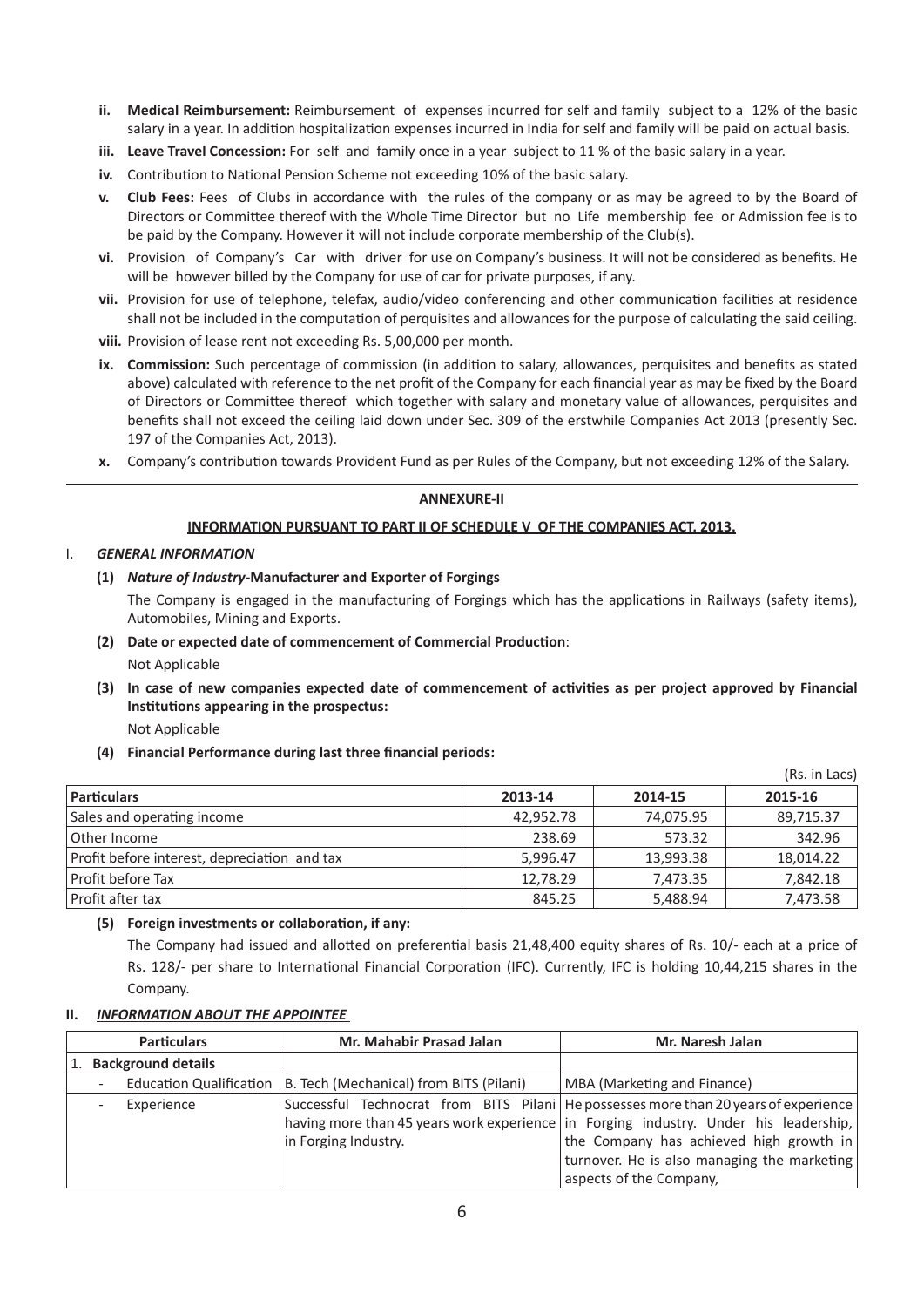- **ii. Medical Reimbursement:** Reimbursement of expenses incurred for self and family subject to a 12% of the basic salary in a year. In addition hospitalization expenses incurred in India for self and family will be paid on actual basis.
- **iii. Leave Travel Concession:** For self and family once in a year subject to 11 % of the basic salary in a year.
- iv. Contribution to National Pension Scheme not exceeding 10% of the basic salary.
- **v. Club Fees:** Fees of Clubs in accordance with the rules of the company or as may be agreed to by the Board of Directors or Committee thereof with the Whole Time Director but no Life membership fee or Admission fee is to be paid by the Company. However it will not include corporate membership of the Club(s).
- **vi.** Provision of Company's Car with driver for use on Company's business. It will not be considered as benefits. He will be however billed by the Company for use of car for private purposes, if any.
- vii. Provision for use of telephone, telefax, audio/video conferencing and other communication facilities at residence shall not be included in the computation of perquisites and allowances for the purpose of calculating the said ceiling.
- **viii.** Provision of lease rent not exceeding Rs. 5,00,000 per month.
- ix. Commission: Such percentage of commission (in addition to salary, allowances, perquisites and benefits as stated above) calculated with reference to the net profit of the Company for each financial year as may be fixed by the Board of Directors or Committee thereof which together with salary and monetary value of allowances, perquisites and benefits shall not exceed the ceiling laid down under Sec. 309 of the erstwhile Companies Act 2013 (presently Sec. 197 of the Companies Act, 2013).
- **x.** Company's contribution towards Provident Fund as per Rules of the Company, but not exceeding 12% of the Salary.

#### **ANNEXURE-II**

#### **INFORMATION PURSUANT TO PART II OF SCHEDULE V OF THE COMPANIES ACT, 2013.**

#### I. *GENERAL INFORMATION*

#### **(1)** *Nature of Industry-***Manufacturer and Exporter of Forgings**

The Company is engaged in the manufacturing of Forgings which has the applications in Railways (safety items), Automobiles, Mining and Exports.

- **(2) Date or expected date of commencement of Commercial ProducƟon**: Not Applicable
- **(3) In case of new companies expected date of commencement of acƟviƟes as per project approved by Financial InsƟtuƟons appearing in the prospectus:**

 $\sqrt{R}$ 

Not Applicable

**(4) Financial Performance during last three financial periods:** 

|                                              |           |           | (RS. In Lacs) |
|----------------------------------------------|-----------|-----------|---------------|
| <b>Particulars</b>                           | 2013-14   | 2014-15   | 2015-16       |
| Sales and operating income                   | 42,952.78 | 74,075.95 | 89,715.37     |
| Other Income                                 | 238.69    | 573.32    | 342.96        |
| Profit before interest, depreciation and tax | 5,996.47  | 13,993.38 | 18,014.22     |
| Profit before Tax                            | 12,78.29  | 7,473.35  | 7,842.18      |
| Profit after tax                             | 845.25    | 5,488.94  | 7,473.58      |

### **(5) Foreign investments or collaboraƟon, if any:**

The Company had issued and allotted on preferential basis 21,48,400 equity shares of Rs. 10/- each at a price of Rs. 128/- per share to International Financial Corporation (IFC). Currently, IFC is holding 10,44,215 shares in the Company.

#### **II.** *INFORMATION ABOUT THE APPOINTEE*

| <b>Particulars</b> |                          |                           | Mr. Mahabir Prasad Jalan                                          | Mr. Naresh Jalan                                                                       |  |
|--------------------|--------------------------|---------------------------|-------------------------------------------------------------------|----------------------------------------------------------------------------------------|--|
|                    |                          | <b>Background details</b> |                                                                   |                                                                                        |  |
|                    | $\overline{\phantom{a}}$ |                           | Education Qualification   B. Tech (Mechanical) from BITS (Pilani) | MBA (Marketing and Finance)                                                            |  |
|                    |                          | Experience                |                                                                   | Successful Technocrat from BITS Pilani   He possesses more than 20 years of experience |  |
|                    |                          |                           |                                                                   | having more than 45 years work experience in Forging industry. Under his leadership,   |  |
|                    |                          |                           | in Forging Industry.                                              | the Company has achieved high growth in                                                |  |
|                    |                          |                           |                                                                   | turnover. He is also managing the marketing                                            |  |
|                    |                          |                           |                                                                   | aspects of the Company,                                                                |  |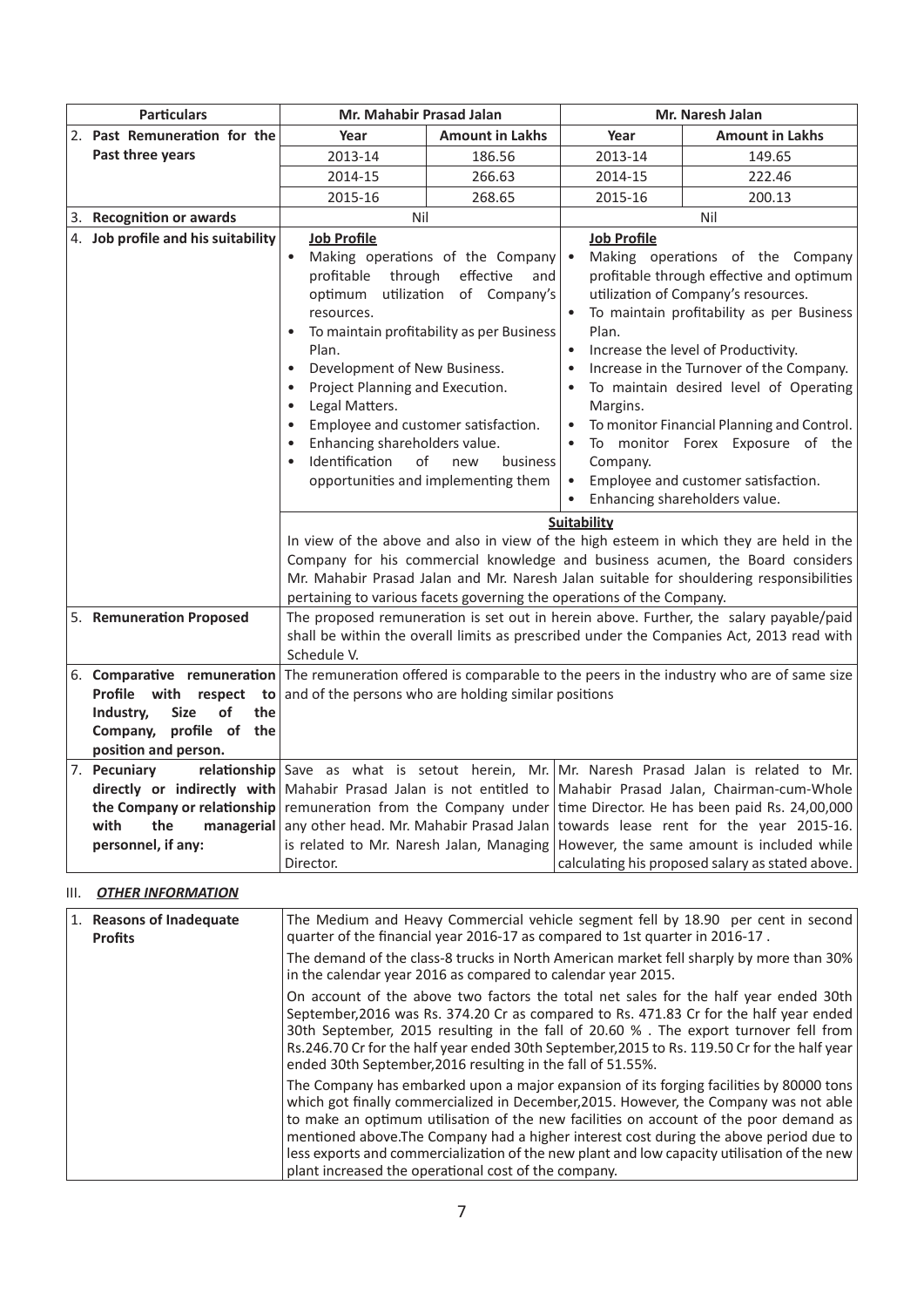| <b>Particulars</b>                                                                                                                                                    | Mr. Mahabir Prasad Jalan                                                                                                                                                                                                                                                                                                                                                                                                                                                                                                  |                        | Mr. Naresh Jalan                                                                                                                                                                                                                                                                                                                                                                                                                                                                                                                                                                |                                                                                                                                                                                                                                                                                                                                      |  |
|-----------------------------------------------------------------------------------------------------------------------------------------------------------------------|---------------------------------------------------------------------------------------------------------------------------------------------------------------------------------------------------------------------------------------------------------------------------------------------------------------------------------------------------------------------------------------------------------------------------------------------------------------------------------------------------------------------------|------------------------|---------------------------------------------------------------------------------------------------------------------------------------------------------------------------------------------------------------------------------------------------------------------------------------------------------------------------------------------------------------------------------------------------------------------------------------------------------------------------------------------------------------------------------------------------------------------------------|--------------------------------------------------------------------------------------------------------------------------------------------------------------------------------------------------------------------------------------------------------------------------------------------------------------------------------------|--|
| 2. Past Remuneration for the                                                                                                                                          | Year                                                                                                                                                                                                                                                                                                                                                                                                                                                                                                                      | <b>Amount in Lakhs</b> | Year                                                                                                                                                                                                                                                                                                                                                                                                                                                                                                                                                                            | <b>Amount in Lakhs</b>                                                                                                                                                                                                                                                                                                               |  |
| Past three years                                                                                                                                                      | 2013-14                                                                                                                                                                                                                                                                                                                                                                                                                                                                                                                   | 186.56                 | 2013-14                                                                                                                                                                                                                                                                                                                                                                                                                                                                                                                                                                         | 149.65                                                                                                                                                                                                                                                                                                                               |  |
|                                                                                                                                                                       | 2014-15                                                                                                                                                                                                                                                                                                                                                                                                                                                                                                                   | 266.63                 | 2014-15                                                                                                                                                                                                                                                                                                                                                                                                                                                                                                                                                                         | 222.46                                                                                                                                                                                                                                                                                                                               |  |
|                                                                                                                                                                       | 2015-16                                                                                                                                                                                                                                                                                                                                                                                                                                                                                                                   | 268.65                 | 2015-16                                                                                                                                                                                                                                                                                                                                                                                                                                                                                                                                                                         | 200.13                                                                                                                                                                                                                                                                                                                               |  |
| 3. Recognition or awards                                                                                                                                              | Nil                                                                                                                                                                                                                                                                                                                                                                                                                                                                                                                       |                        |                                                                                                                                                                                                                                                                                                                                                                                                                                                                                                                                                                                 | Nil                                                                                                                                                                                                                                                                                                                                  |  |
| 4. Job profile and his suitability                                                                                                                                    | <b>Job Profile</b><br>Making operations of the Company<br>profitable<br>through<br>effective<br>and<br>utilization of Company's<br>optimum<br>resources.<br>To maintain profitability as per Business<br>Plan.<br>Development of New Business.<br>$\bullet$<br>Project Planning and Execution.<br>$\bullet$<br>Legal Matters.<br>$\bullet$<br>Employee and customer satisfaction.<br>Enhancing shareholders value.<br>Identification<br>$\alpha$ f<br>business<br>new<br>$\bullet$<br>opportunities and implementing them |                        | <b>Job Profile</b><br>$\bullet$<br>Making operations of the Company<br>profitable through effective and optimum<br>utilization of Company's resources.<br>To maintain profitability as per Business<br>Plan.<br>Increase the level of Productivity.<br>$\bullet$<br>Increase in the Turnover of the Company.<br>$\bullet$<br>To maintain desired level of Operating<br>$\bullet$<br>Margins.<br>To monitor Financial Planning and Control.<br>To monitor Forex Exposure of the<br>Company.<br>Employee and customer satisfaction.<br>$\bullet$<br>Enhancing shareholders value. |                                                                                                                                                                                                                                                                                                                                      |  |
|                                                                                                                                                                       |                                                                                                                                                                                                                                                                                                                                                                                                                                                                                                                           |                        | Suitability<br>In view of the above and also in view of the high esteem in which they are held in the<br>Company for his commercial knowledge and business acumen, the Board considers<br>Mr. Mahabir Prasad Jalan and Mr. Naresh Jalan suitable for shouldering responsibilities<br>pertaining to various facets governing the operations of the Company.                                                                                                                                                                                                                      |                                                                                                                                                                                                                                                                                                                                      |  |
| 5. Remuneration Proposed                                                                                                                                              | The proposed remuneration is set out in herein above. Further, the salary payable/paid<br>shall be within the overall limits as prescribed under the Companies Act, 2013 read with<br>Schedule V.                                                                                                                                                                                                                                                                                                                         |                        |                                                                                                                                                                                                                                                                                                                                                                                                                                                                                                                                                                                 |                                                                                                                                                                                                                                                                                                                                      |  |
| Profile with<br>respect<br>to<br>of<br>Industry,<br><b>Size</b><br>the<br>Company, profile of the<br>position and person.                                             | 6. Comparative remuneration The remuneration offered is comparable to the peers in the industry who are of same size<br>and of the persons who are holding similar positions                                                                                                                                                                                                                                                                                                                                              |                        |                                                                                                                                                                                                                                                                                                                                                                                                                                                                                                                                                                                 |                                                                                                                                                                                                                                                                                                                                      |  |
| 7. Pecuniary<br>directly or indirectly with Mahabir Prasad Jalan is not entitled to<br>the Company or relationship<br>the<br>with<br>managerial<br>personnel, if any: | remuneration from the Company under<br>any other head. Mr. Mahabir Prasad Jalan<br>is related to Mr. Naresh Jalan, Managing<br>Director.                                                                                                                                                                                                                                                                                                                                                                                  |                        |                                                                                                                                                                                                                                                                                                                                                                                                                                                                                                                                                                                 | relationship Save as what is setout herein, Mr. Mr. Naresh Prasad Jalan is related to Mr.<br>Mahabir Prasad Jalan, Chairman-cum-Whole<br>time Director. He has been paid Rs. 24,00,000<br>towards lease rent for the year 2015-16.<br>However, the same amount is included while<br>calculating his proposed salary as stated above. |  |

## III. *OTHER INFORMATION*

| 1. Reasons of Inadequate<br><b>Profits</b> | The Medium and Heavy Commercial vehicle segment fell by 18.90 per cent in second<br>quarter of the financial year 2016-17 as compared to 1st quarter in 2016-17.                                                                                                                                                                                                                                                                                                                                                           |
|--------------------------------------------|----------------------------------------------------------------------------------------------------------------------------------------------------------------------------------------------------------------------------------------------------------------------------------------------------------------------------------------------------------------------------------------------------------------------------------------------------------------------------------------------------------------------------|
|                                            | The demand of the class-8 trucks in North American market fell sharply by more than 30%<br>in the calendar year 2016 as compared to calendar year 2015.                                                                                                                                                                                                                                                                                                                                                                    |
|                                            | On account of the above two factors the total net sales for the half year ended 30th<br>September, 2016 was Rs. 374.20 Cr as compared to Rs. 471.83 Cr for the half year ended<br>30th September, 2015 resulting in the fall of 20.60 %. The export turnover fell from<br>Rs.246.70 Cr for the half year ended 30th September, 2015 to Rs. 119.50 Cr for the half year<br>ended 30th September, 2016 resulting in the fall of 51.55%.                                                                                      |
|                                            | The Company has embarked upon a major expansion of its forging facilities by 80000 tons<br>which got finally commercialized in December, 2015. However, the Company was not able<br>to make an optimum utilisation of the new facilities on account of the poor demand as<br>mentioned above. The Company had a higher interest cost during the above period due to<br>less exports and commercialization of the new plant and low capacity utilisation of the new<br>plant increased the operational cost of the company. |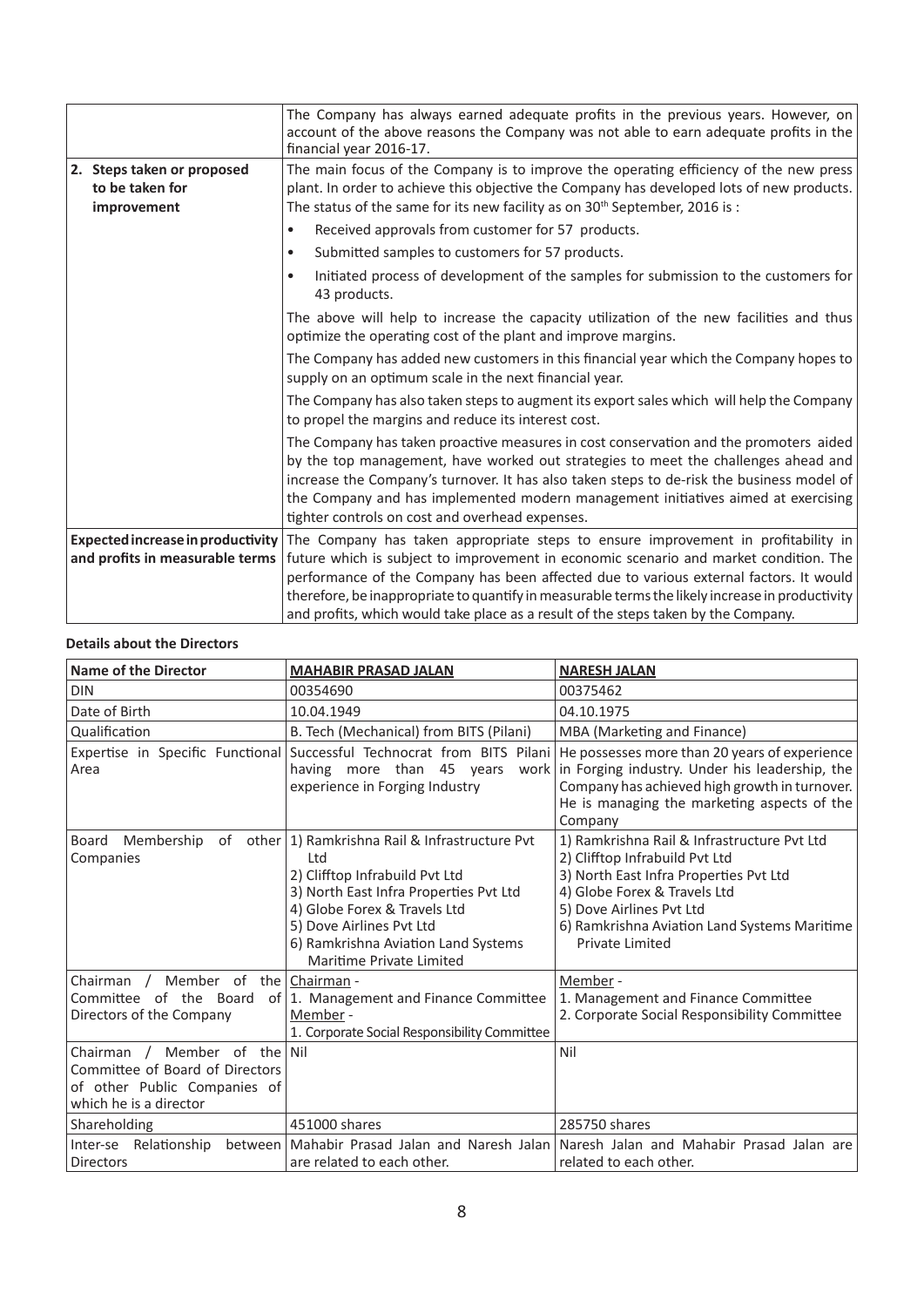|                                                              | The Company has always earned adequate profits in the previous years. However, on<br>account of the above reasons the Company was not able to earn adequate profits in the<br>financial year 2016-17.                                                                                                                                                                                                            |  |  |
|--------------------------------------------------------------|------------------------------------------------------------------------------------------------------------------------------------------------------------------------------------------------------------------------------------------------------------------------------------------------------------------------------------------------------------------------------------------------------------------|--|--|
| 2. Steps taken or proposed<br>to be taken for<br>improvement | The main focus of the Company is to improve the operating efficiency of the new press<br>plant. In order to achieve this objective the Company has developed lots of new products.<br>The status of the same for its new facility as on $30th$ September, 2016 is :                                                                                                                                              |  |  |
|                                                              | Received approvals from customer for 57 products.<br>٠                                                                                                                                                                                                                                                                                                                                                           |  |  |
|                                                              | Submitted samples to customers for 57 products.<br>$\bullet$                                                                                                                                                                                                                                                                                                                                                     |  |  |
|                                                              | Initiated process of development of the samples for submission to the customers for<br>$\bullet$<br>43 products.                                                                                                                                                                                                                                                                                                 |  |  |
|                                                              | The above will help to increase the capacity utilization of the new facilities and thus<br>optimize the operating cost of the plant and improve margins.                                                                                                                                                                                                                                                         |  |  |
|                                                              | The Company has added new customers in this financial year which the Company hopes to<br>supply on an optimum scale in the next financial year.                                                                                                                                                                                                                                                                  |  |  |
|                                                              | The Company has also taken steps to augment its export sales which will help the Company<br>to propel the margins and reduce its interest cost.                                                                                                                                                                                                                                                                  |  |  |
|                                                              | The Company has taken proactive measures in cost conservation and the promoters aided<br>by the top management, have worked out strategies to meet the challenges ahead and<br>increase the Company's turnover. It has also taken steps to de-risk the business model of<br>the Company and has implemented modern management initiatives aimed at exercising<br>tighter controls on cost and overhead expenses. |  |  |
| Expected increase in productivity                            | The Company has taken appropriate steps to ensure improvement in profitability in                                                                                                                                                                                                                                                                                                                                |  |  |
| and profits in measurable terms                              | future which is subject to improvement in economic scenario and market condition. The                                                                                                                                                                                                                                                                                                                            |  |  |
|                                                              | performance of the Company has been affected due to various external factors. It would                                                                                                                                                                                                                                                                                                                           |  |  |
|                                                              | therefore, be inappropriate to quantify in measurable terms the likely increase in productivity<br>and profits, which would take place as a result of the steps taken by the Company.                                                                                                                                                                                                                            |  |  |
|                                                              |                                                                                                                                                                                                                                                                                                                                                                                                                  |  |  |

## **Details about the Directors**

| <b>Name of the Director</b>                                                                                                    | <b>MAHABIR PRASAD JALAN</b>                                                                                                                                                                                                                                          | <b>NARESH JALAN</b>                                                                                                                                                                                                                                    |  |
|--------------------------------------------------------------------------------------------------------------------------------|----------------------------------------------------------------------------------------------------------------------------------------------------------------------------------------------------------------------------------------------------------------------|--------------------------------------------------------------------------------------------------------------------------------------------------------------------------------------------------------------------------------------------------------|--|
| <b>DIN</b>                                                                                                                     | 00354690                                                                                                                                                                                                                                                             | 00375462                                                                                                                                                                                                                                               |  |
| Date of Birth                                                                                                                  | 10.04.1949                                                                                                                                                                                                                                                           | 04.10.1975                                                                                                                                                                                                                                             |  |
| Qualification                                                                                                                  | B. Tech (Mechanical) from BITS (Pilani)                                                                                                                                                                                                                              | MBA (Marketing and Finance)                                                                                                                                                                                                                            |  |
| Expertise in Specific Functional<br>Area                                                                                       | Successful Technocrat from BITS Pilani<br>having more than 45 years<br>work<br>experience in Forging Industry                                                                                                                                                        | He possesses more than 20 years of experience<br>in Forging industry. Under his leadership, the<br>Company has achieved high growth in turnover.<br>He is managing the marketing aspects of the<br>Company                                             |  |
| Membership<br>Board<br>Companies                                                                                               | of other   1) Ramkrishna Rail & Infrastructure Pvt<br>Ltd<br>2) Clifftop Infrabuild Pvt Ltd<br>3) North East Infra Properties Pvt Ltd<br>4) Globe Forex & Travels Ltd<br>5) Dove Airlines Pvt Ltd<br>6) Ramkrishna Aviation Land Systems<br>Maritime Private Limited | 1) Ramkrishna Rail & Infrastructure Pvt Ltd<br>2) Clifftop Infrabuild Pvt Ltd<br>3) North East Infra Properties Pvt Ltd<br>4) Globe Forex & Travels Ltd<br>5) Dove Airlines Pvt Ltd<br>6) Ramkrishna Aviation Land Systems Maritime<br>Private Limited |  |
| Member of the Chairman -<br>Chairman $/$<br>Committee of the Board<br>Directors of the Company                                 | of   1. Management and Finance Committee<br>Member -<br>1. Corporate Social Responsibility Committee                                                                                                                                                                 | Member -<br>1. Management and Finance Committee<br>2. Corporate Social Responsibility Committee                                                                                                                                                        |  |
| Member of the Nil<br>Chairman $/$<br>Committee of Board of Directors<br>of other Public Companies of<br>which he is a director |                                                                                                                                                                                                                                                                      | Nil                                                                                                                                                                                                                                                    |  |
| Shareholding                                                                                                                   | 451000 shares                                                                                                                                                                                                                                                        | 285750 shares                                                                                                                                                                                                                                          |  |
| Inter-se Relationship<br>between l<br><b>Directors</b>                                                                         | Mahabir Prasad Jalan and Naresh Jalan<br>are related to each other.                                                                                                                                                                                                  | Naresh Jalan and Mahabir Prasad Jalan are<br>related to each other.                                                                                                                                                                                    |  |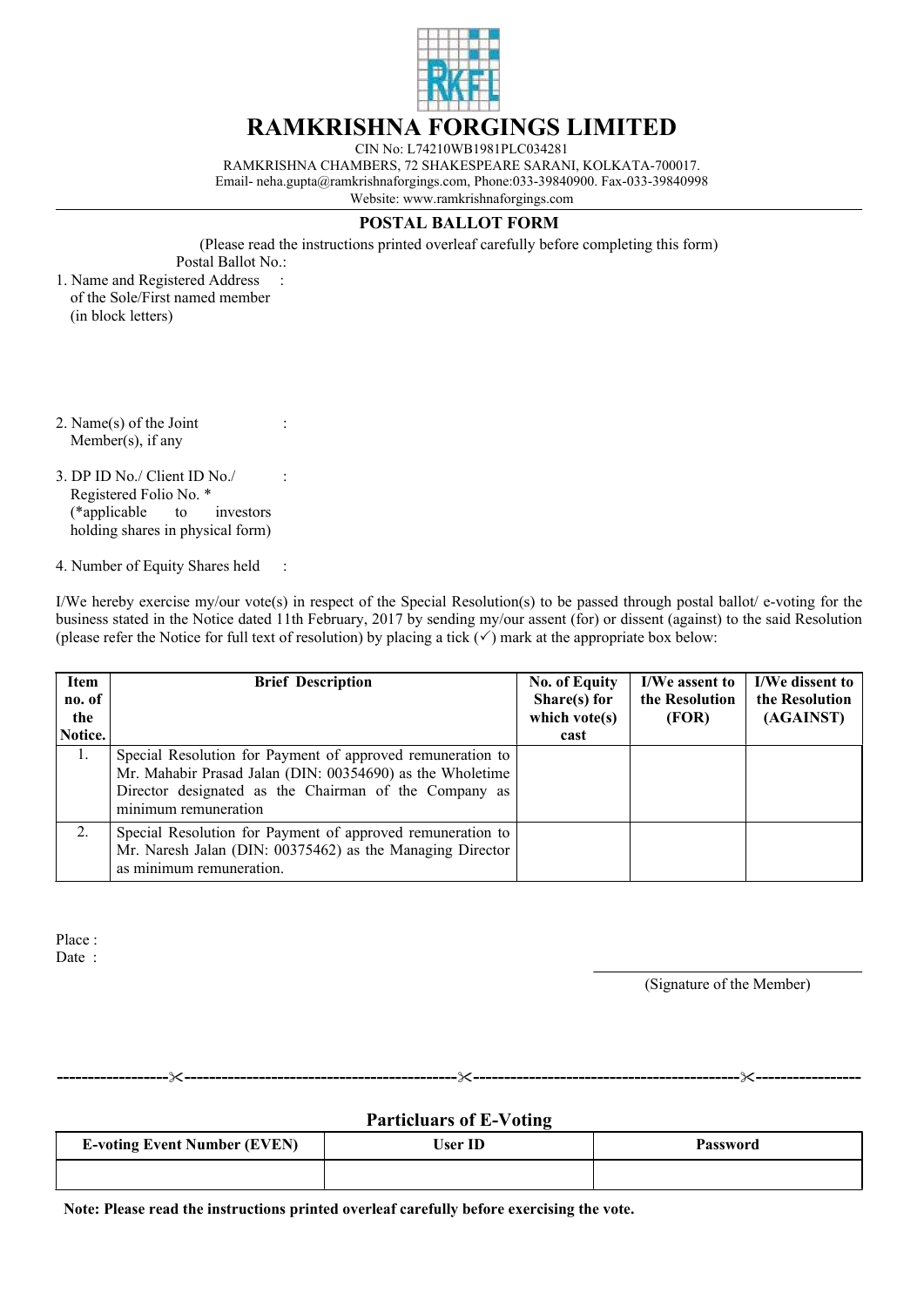

## **RAMKRISHNA FORGINGS LIMITED**

CIN No: L74210WB1981PLC034281 RAMKRISHNA CHAMBERS, 72 SHAKESPEARE SARANI, KOLKATA-700017. Email- neha.gupta@ramkrishnaforgings.com, Phone:033-39840900. Fax-033-39840998 Website: www.ramkrishnaforgings.com

## **POSTAL BALLOT FORM**

(Please read the instructions printed overleaf carefully before completing this form) Postal Ballot No.:

1. Name and Registered Address of the Sole/First named member (in block letters)

:

:

:

- 2. Name(s) of the Joint Member(s), if any
- 3. DP ID No./ Client ID No./ Registered Folio No. \* (\*applicable to investors holding shares in physical form)
- 4. Number of Equity Shares held :

I/We hereby exercise my/our vote(s) in respect of the Special Resolution(s) to be passed through postal ballot/ e-voting for the business stated in the Notice dated 11th February, 2017 by sending my/our assent (for) or dissent (against) to the said Resolution (please refer the Notice for full text of resolution) by placing a tick  $(\checkmark)$  mark at the appropriate box below:

| Item<br>no. of<br>the<br>Notice. | <b>Brief Description</b>                                                                                                                                                                                 | <b>No. of Equity</b><br>Share(s) for<br>which vote $(s)$<br>cast | I/We assent to<br>the Resolution<br>(FOR) | I/We dissent to<br>the Resolution<br>(AGAINST) |
|----------------------------------|----------------------------------------------------------------------------------------------------------------------------------------------------------------------------------------------------------|------------------------------------------------------------------|-------------------------------------------|------------------------------------------------|
| 1.                               | Special Resolution for Payment of approved remuneration to<br>Mr. Mahabir Prasad Jalan (DIN: 00354690) as the Wholetime<br>Director designated as the Chairman of the Company as<br>minimum remuneration |                                                                  |                                           |                                                |
| 2.                               | Special Resolution for Payment of approved remuneration to<br>Mr. Naresh Jalan (DIN: 00375462) as the Managing Director<br>as minimum remuneration.                                                      |                                                                  |                                           |                                                |

Place : Date:

(Signature of the Member)

**Particluars of E-Voting**

**------------------**"**--------------------------------------------**"**-------------------------------------------**"**-----------------**

| <b>E-voting Event Number (EVEN)</b> | User ID | <b>Password</b> |
|-------------------------------------|---------|-----------------|
|                                     |         |                 |

**Note: Please read the instructions printed overleaf carefully before exercising the vote.**